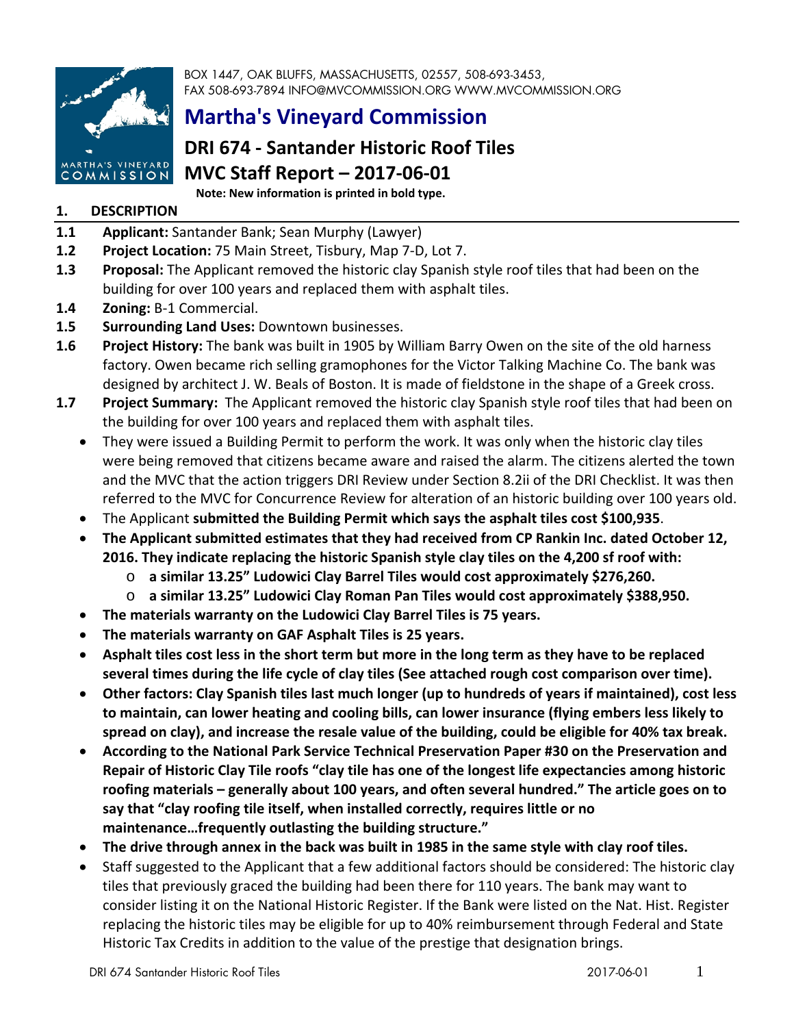

BOX 1447, OAK BLUFFS, MASSACHUSETTS, 02557, 508-693-3453, FAX 508-693-7894 INFO@MVCOMMISSION.ORG WWW.MVCOMMISSION.ORG

# **Martha's Vineyard Commission**

# **DRI 674 ‐ Santander Historic Roof Tiles MVC Staff Report – 2017‐06‐01**

**Note: New information is printed in bold type.**

# **1. DESCRIPTION**

- **1.1 Applicant:** Santander Bank; Sean Murphy (Lawyer)
- **1.2 Project Location:** 75 Main Street, Tisbury, Map 7‐D, Lot 7.
- **1.3 Proposal:** The Applicant removed the historic clay Spanish style roof tiles that had been on the building for over 100 years and replaced them with asphalt tiles.
- **1.4 Zoning:** B‐1 Commercial.
- **1.5 Surrounding Land Uses:** Downtown businesses.
- **1.6 Project History:** The bank was built in 1905 by William Barry Owen on the site of the old harness factory. Owen became rich selling gramophones for the Victor Talking Machine Co. The bank was designed by architect J. W. Beals of Boston. It is made of fieldstone in the shape of a Greek cross.
- **1.7 Project Summary:** The Applicant removed the historic clay Spanish style roof tiles that had been on the building for over 100 years and replaced them with asphalt tiles.
	- They were issued a Building Permit to perform the work. It was only when the historic clay tiles were being removed that citizens became aware and raised the alarm. The citizens alerted the town and the MVC that the action triggers DRI Review under Section 8.2ii of the DRI Checklist. It was then referred to the MVC for Concurrence Review for alteration of an historic building over 100 years old.
	- The Applicant **submitted the Building Permit which says the asphalt tiles cost \$100,935**.
	- **The Applicant submitted estimates that they had received from CP Rankin Inc. dated October 12, 2016. They indicate replacing the historic Spanish style clay tiles on the 4,200 sf roof with:**
		- o **a similar 13.25" Ludowici Clay Barrel Tiles would cost approximately \$276,260.**
		- o **a similar 13.25" Ludowici Clay Roman Pan Tiles would cost approximately \$388,950.**
	- **The materials warranty on the Ludowici Clay Barrel Tiles is 75 years.**
	- **The materials warranty on GAF Asphalt Tiles is 25 years.**
	- Asphalt tiles cost less in the short term but more in the long term as they have to be replaced **several times during the life cycle of clay tiles (See attached rough cost comparison over time).**
	- **Other factors: Clay Spanish tiles last much longer (up to hundreds of years if maintained), cost less to maintain, can lower heating and cooling bills, can lower insurance (flying embers less likely to** spread on clay), and increase the resale value of the building, could be eligible for 40% tax break.
	- **According to the National Park Service Technical Preservation Paper #30 on the Preservation and Repair of Historic Clay Tile roofs "clay tile has one of the longest life expectancies among historic roofing materials – generally about 100 years, and often several hundred." The article goes on to say that "clay roofing tile itself, when installed correctly, requires little or no maintenance…frequently outlasting the building structure."**
	- The drive through annex in the back was built in 1985 in the same style with clay roof tiles.
	- Staff suggested to the Applicant that a few additional factors should be considered: The historic clay tiles that previously graced the building had been there for 110 years. The bank may want to consider listing it on the National Historic Register. If the Bank were listed on the Nat. Hist. Register replacing the historic tiles may be eligible for up to 40% reimbursement through Federal and State Historic Tax Credits in addition to the value of the prestige that designation brings.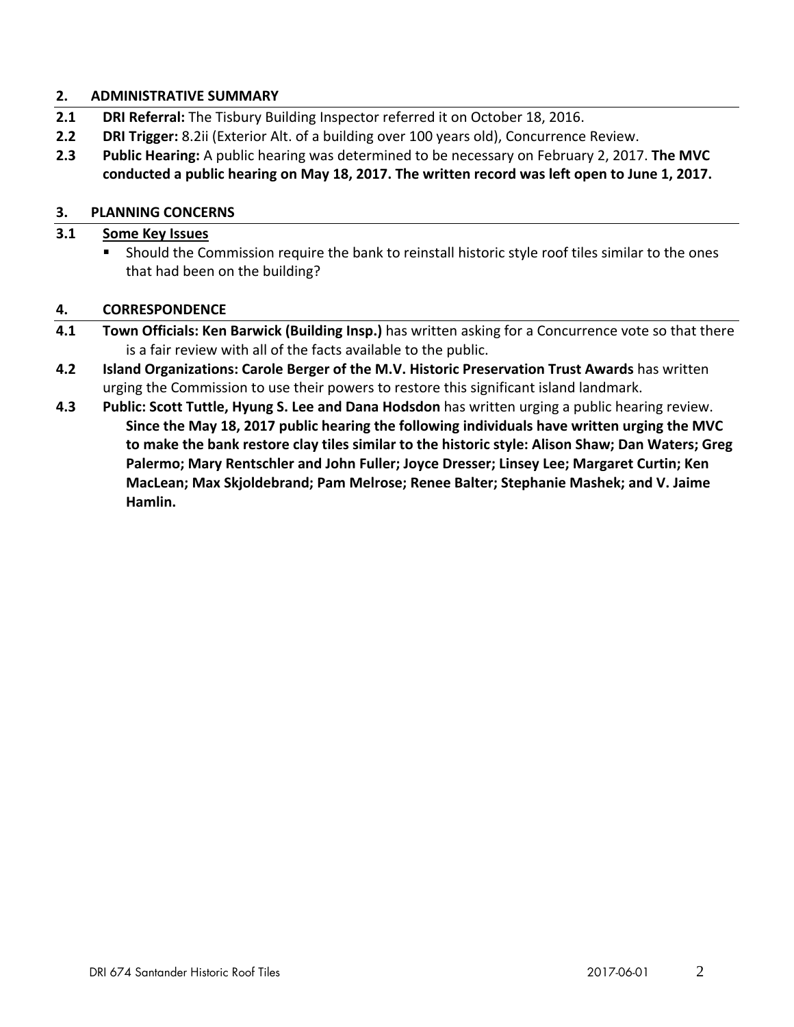#### **2. ADMINISTRATIVE SUMMARY**

- **2.1 DRI Referral:** The Tisbury Building Inspector referred it on October 18, 2016.
- **2.2 DRI Trigger:** 8.2ii (Exterior Alt. of a building over 100 years old), Concurrence Review.
- **2.3 Public Hearing:** A public hearing was determined to be necessary on February 2, 2017. **The MVC conducted a public hearing on May 18, 2017. The written record was left open to June 1, 2017.**

### **3. PLANNING CONCERNS**

## **3.1 Some Key Issues**

 Should the Commission require the bank to reinstall historic style roof tiles similar to the ones that had been on the building?

#### **4. CORRESPONDENCE**

- **4.1 Town Officials: Ken Barwick (Building Insp.)** has written asking for a Concurrence vote so that there is a fair review with all of the facts available to the public.
- **4.2 Island Organizations: Carole Berger of the M.V. Historic Preservation Trust Awards** has written urging the Commission to use their powers to restore this significant island landmark.
- **4.3 Public: Scott Tuttle, Hyung S. Lee and Dana Hodsdon** has written urging a public hearing review. **Since the May 18, 2017 public hearing the following individuals have written urging the MVC to make the bank restore clay tiles similar to the historic style: Alison Shaw; Dan Waters; Greg Palermo; Mary Rentschler and John Fuller; Joyce Dresser; Linsey Lee; Margaret Curtin; Ken MacLean; Max Skjoldebrand; Pam Melrose; Renee Balter; Stephanie Mashek; and V. Jaime Hamlin.**